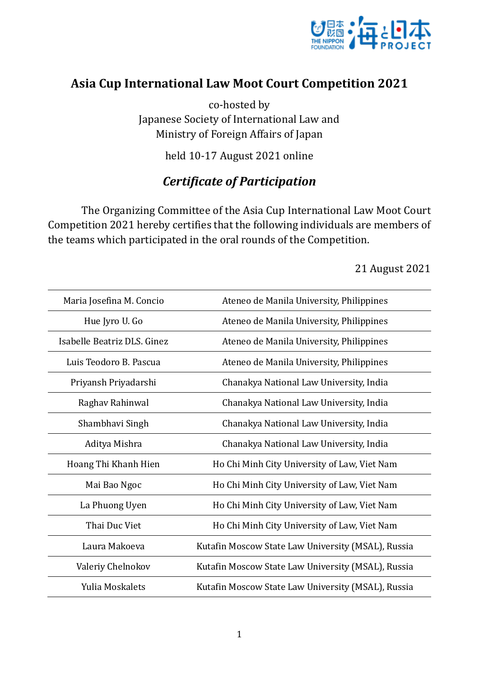

## **Asia Cup International Law Moot Court Competition 2021**

co-hosted by Japanese Society of International Law and Ministry of Foreign Affairs of Japan

held 10-17 August 2021 online

## *Certificate of Participation*

The Organizing Committee of the Asia Cup International Law Moot Court Competition 2021 hereby certifies that the following individuals are members of the teams which participated in the oral rounds of the Competition.

21 August 2021

| Maria Josefina M. Concio    | Ateneo de Manila University, Philippines           |
|-----------------------------|----------------------------------------------------|
| Hue Jyro U. Go              | Ateneo de Manila University, Philippines           |
| Isabelle Beatriz DLS, Ginez | Ateneo de Manila University, Philippines           |
| Luis Teodoro B. Pascua      | Ateneo de Manila University, Philippines           |
| Priyansh Priyadarshi        | Chanakya National Law University, India            |
| Raghav Rahinwal             | Chanakya National Law University, India            |
| Shambhavi Singh             | Chanakya National Law University, India            |
| Aditya Mishra               | Chanakya National Law University, India            |
| Hoang Thi Khanh Hien        | Ho Chi Minh City University of Law, Viet Nam       |
| Mai Bao Ngoc                | Ho Chi Minh City University of Law, Viet Nam       |
| La Phuong Uyen              | Ho Chi Minh City University of Law, Viet Nam       |
| Thai Duc Viet               | Ho Chi Minh City University of Law, Viet Nam       |
| Laura Makoeva               | Kutafin Moscow State Law University (MSAL), Russia |
| Valeriy Chelnokov           | Kutafin Moscow State Law University (MSAL), Russia |
| Yulia Moskalets             | Kutafin Moscow State Law University (MSAL), Russia |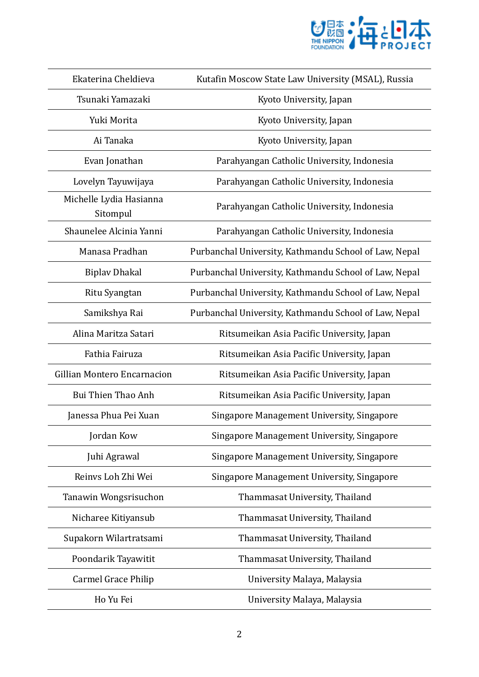

| Ekaterina Cheldieva                 | Kutafin Moscow State Law University (MSAL), Russia    |
|-------------------------------------|-------------------------------------------------------|
| Tsunaki Yamazaki                    | Kyoto University, Japan                               |
| Yuki Morita                         | Kyoto University, Japan                               |
| Ai Tanaka                           | Kyoto University, Japan                               |
| Evan Jonathan                       | Parahyangan Catholic University, Indonesia            |
| Lovelyn Tayuwijaya                  | Parahyangan Catholic University, Indonesia            |
| Michelle Lydia Hasianna<br>Sitompul | Parahyangan Catholic University, Indonesia            |
| Shaunelee Alcinia Yanni             | Parahyangan Catholic University, Indonesia            |
| Manasa Pradhan                      | Purbanchal University, Kathmandu School of Law, Nepal |
| <b>Biplay Dhakal</b>                | Purbanchal University, Kathmandu School of Law, Nepal |
| Ritu Syangtan                       | Purbanchal University, Kathmandu School of Law, Nepal |
| Samikshya Rai                       | Purbanchal University, Kathmandu School of Law, Nepal |
| Alina Maritza Satari                | Ritsumeikan Asia Pacific University, Japan            |
| Fathia Fairuza                      | Ritsumeikan Asia Pacific University, Japan            |
| Gillian Montero Encarnacion         | Ritsumeikan Asia Pacific University, Japan            |
| Bui Thien Thao Anh                  | Ritsumeikan Asia Pacific University, Japan            |
| Janessa Phua Pei Xuan               | Singapore Management University, Singapore            |
| Jordan Kow                          | Singapore Management University, Singapore            |
| Juhi Agrawal                        | Singapore Management University, Singapore            |
| Reinvs Loh Zhi Wei                  | Singapore Management University, Singapore            |
| Tanawin Wongsrisuchon               | Thammasat University, Thailand                        |
| Nicharee Kitiyansub                 | Thammasat University, Thailand                        |
| Supakorn Wilartratsami              | Thammasat University, Thailand                        |
| Poondarik Tayawitit                 | Thammasat University, Thailand                        |
| <b>Carmel Grace Philip</b>          | University Malaya, Malaysia                           |
| Ho Yu Fei                           | University Malaya, Malaysia                           |